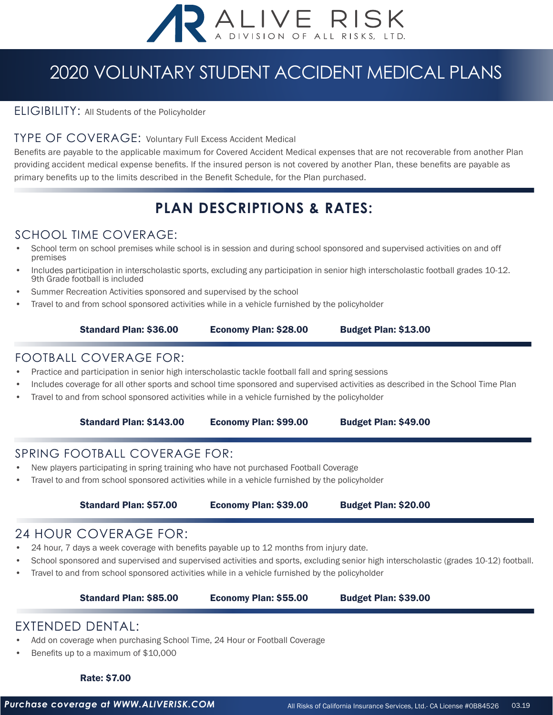

## 2020 VOLUNTARY STUDENT ACCIDENT MEDICAL PLANS

#### ELIGIBILITY: All Students of the Policyholder

#### TYPE OF COVERAGE: Voluntary Full Excess Accident Medical

Benefits are payable to the applicable maximum for Covered Accident Medical expenses that are not recoverable from another Plan providing accident medical expense benefits. If the insured person is not covered by another Plan, these benefits are payable as primary benefits up to the limits described in the Benefit Schedule, for the Plan purchased.

### **PLAN DESCRIPTIONS & RATES:**

#### SCHOOL TIME COVERAGE:

- School term on school premises while school is in session and during school sponsored and supervised activities on and off premises
- Includes participation in interscholastic sports, excluding any participation in senior high interscholastic football grades 10-12. 9th Grade football is included
- Summer Recreation Activities sponsored and supervised by the school
- Travel to and from school sponsored activities while in a vehicle furnished by the policyholder

#### Standard Plan: \$36.00 Economy Plan: \$28.00 Budget Plan: \$13.00

#### FOOTBALL COVERAGE FOR:

- Practice and participation in senior high interscholastic tackle football fall and spring sessions
- Includes coverage for all other sports and school time sponsored and supervised activities as described in the School Time Plan
- Travel to and from school sponsored activities while in a vehicle furnished by the policyholder

#### Standard Plan: \$143.00 Economy Plan: \$99.00 Budget Plan: \$49.00

#### SPRING FOOTBALL COVERAGE FOR:

- New players participating in spring training who have not purchased Football Coverage
- Travel to and from school sponsored activities while in a vehicle furnished by the policyholder

#### Standard Plan: \$57.00 Economy Plan: \$39.00 Budget Plan: \$20.00

#### 24 HOUR COVERAGE FOR:

- 24 hour, 7 days a week coverage with benefits payable up to 12 months from injury date.
- School sponsored and supervised and supervised activities and sports, excluding senior high interscholastic (grades 10-12) football.
- Travel to and from school sponsored activities while in a vehicle furnished by the policyholder

Standard Plan: \$85.00 Economy Plan: \$55.00 Budget Plan: \$39.00

#### EXTENDED DENTAL:

- Add on coverage when purchasing School Time, 24 Hour or Football Coverage
- Benefits up to a maximum of \$10,000

#### Rate: \$7.00